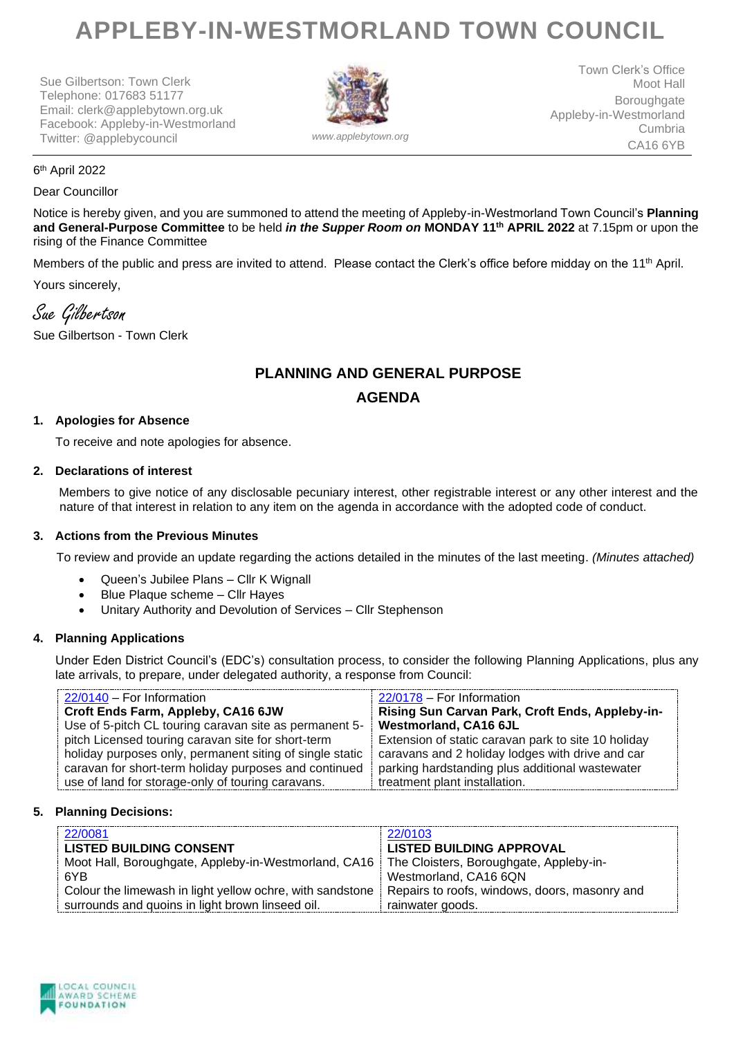# **APPLEBY-IN-WESTMORLAND TOWN COUNCIL**

Sue Gilbertson: Town Clerk Telephone: 017683 51177 Email: clerk@applebytown.org.uk Facebook: Appleby-in-Westmorland Twitter: @applebycouncil *www.applebytown.org*



Town Clerk's Office Moot Hall Boroughgate Appleby-in-Westmorland Cumbria CA16 6YB

6 th April 2022

#### Dear Councillor

Notice is hereby given, and you are summoned to attend the meeting of Appleby-in-Westmorland Town Council's **Planning and General-Purpose Committee** to be held *in the Supper Room on* **MONDAY 11th APRIL 2022** at 7.15pm or upon the rising of the Finance Committee

Members of the public and press are invited to attend. Please contact the Clerk's office before midday on the 11<sup>th</sup> April.

Yours sincerely,

Sue Gilbertson

Sue Gilbertson - Town Clerk

# **PLANNING AND GENERAL PURPOSE AGENDA**

# **1. Apologies for Absence**

To receive and note apologies for absence.

#### **2. Declarations of interest**

Members to give notice of any disclosable pecuniary interest, other registrable interest or any other interest and the nature of that interest in relation to any item on the agenda in accordance with the adopted code of conduct.

# **3. Actions from the Previous Minutes**

To review and provide an update regarding the actions detailed in the minutes of the last meeting. *(Minutes attached)*

- Queen's Jubilee Plans Cllr K Wignall
- Blue Plaque scheme Cllr Hayes
- Unitary Authority and Devolution of Services Cllr Stephenson

# **4. Planning Applications**

Under Eden District Council's (EDC's) consultation process, to consider the following Planning Applications, plus any late arrivals, to prepare, under delegated authority, a response from Council:

| 22/0140 - For Information                                | 22/0178 - For Information                           |
|----------------------------------------------------------|-----------------------------------------------------|
|                                                          |                                                     |
| Croft Ends Farm, Appleby, CA16 6JW                       | Rising Sun Carvan Park, Croft Ends, Appleby-in-     |
| Use of 5-pitch CL touring caravan site as permanent 5-   | <b>Westmorland, CA16 6JL</b>                        |
| pitch Licensed touring caravan site for short-term       | Extension of static caravan park to site 10 holiday |
| holiday purposes only, permanent siting of single static | caravans and 2 holiday lodges with drive and car    |
| caravan for short-term holiday purposes and continued    | parking hardstanding plus additional wastewater     |
| use of land for storage-only of touring caravans.        | treatment plant installation.                       |

# **5. Planning Decisions:**

| 22/0081<br><b>LISTED BUILDING CONSENT</b><br>Moot Hall, Boroughgate, Appleby-in-Westmorland, CA16   The Cloisters, Boroughgate, Appleby-in- | 22/0103<br><b>LISTED BUILDING APPROVAL</b>                        |
|---------------------------------------------------------------------------------------------------------------------------------------------|-------------------------------------------------------------------|
| 6YB                                                                                                                                         | Westmorland, CA16 6QN                                             |
| Colour the limewash in light yellow ochre, with sandstone<br>surrounds and quoins in light brown linseed oil.                               | Repairs to roofs, windows, doors, masonry and<br>rainwater goods. |